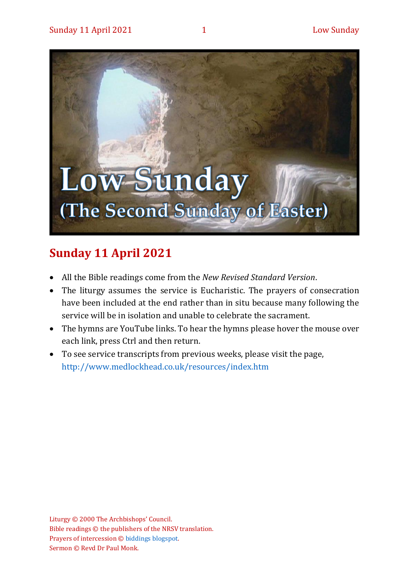

# **Sunday 11 April 2021**

- All the Bible readings come from the *New Revised Standard Version*.
- The liturgy assumes the service is Eucharistic. The prayers of consecration have been included at the end rather than in situ because many following the service will be in isolation and unable to celebrate the sacrament.
- The hymns are YouTube links. To hear the hymns please hover the mouse over each link, press Ctrl and then return.
- To see service transcripts from previous weeks, please visit the page, <http://www.medlockhead.co.uk/resources/index.htm>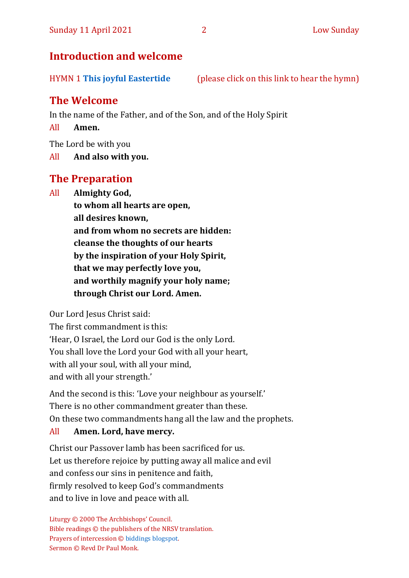# **Introduction and welcome**

HYMN 1 **[This joyful Eastertide](https://www.youtube.com/watch?v=9r9JK1sPB4A)** (please click on this link to hear the hymn)

# **The Welcome**

In the name of the Father, and of the Son, and of the Holy Spirit

All **Amen.**

The Lord be with you

All **And also with you.**

# **The Preparation**

All **Almighty God,**

**to whom all hearts are open, all desires known, and from whom no secrets are hidden: cleanse the thoughts of our hearts by the inspiration of your Holy Spirit, that we may perfectly love you, and worthily magnify your holy name; through Christ our Lord. Amen.**

Our Lord Jesus Christ said:

The first commandment is this: 'Hear, O Israel, the Lord our God is the only Lord. You shall love the Lord your God with all your heart, with all your soul, with all your mind, and with all your strength.'

And the second is this: 'Love your neighbour as yourself.' There is no other commandment greater than these. On these two commandments hang all the law and the prophets.

## All **Amen. Lord, have mercy.**

Christ our Passover lamb has been sacrificed for us. Let us therefore rejoice by putting away all malice and evil and confess our sins in penitence and faith, firmly resolved to keep God's commandments and to live in love and peace with all.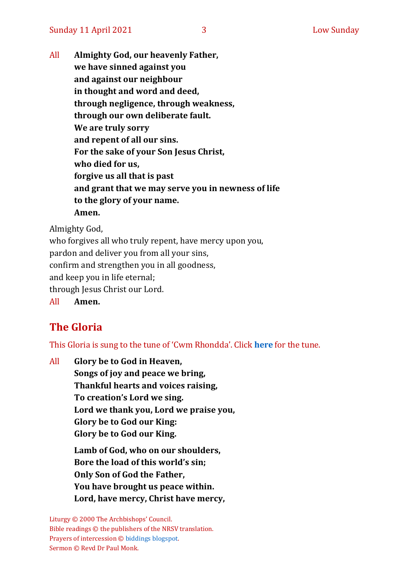All **Almighty God, our heavenly Father, we have sinned against you and against our neighbour in thought and word and deed, through negligence, through weakness, through our own deliberate fault. We are truly sorry and repent of all our sins. For the sake of your Son Jesus Christ, who died for us, forgive us all that is past and grant that we may serve you in newness of life to the glory of your name. Amen.**

Almighty God,

who forgives all who truly repent, have mercy upon you, pardon and deliver you from all your sins, confirm and strengthen you in all goodness, and keep you in life eternal; through Jesus Christ our Lord. All **Amen.**

# **The Gloria**

This Gloria is sung to the tune of 'Cwm Rhondda'. Click **[here](about:blank)** for the tune.

All **Glory be to God in Heaven, Songs of joy and peace we bring, Thankful hearts and voices raising, To creation's Lord we sing. Lord we thank you, Lord we praise you, Glory be to God our King: Glory be to God our King. Lamb of God, who on our shoulders, Bore the load of this world's sin; Only Son of God the Father,**

**You have brought us peace within.**

**Lord, have mercy, Christ have mercy,**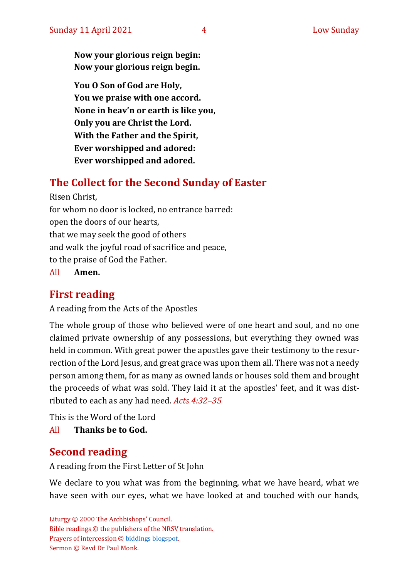**Now your glorious reign begin: Now your glorious reign begin.**

**You O Son of God are Holy, You we praise with one accord. None in heav'n or earth is like you, Only you are Christ the Lord. With the Father and the Spirit, Ever worshipped and adored: Ever worshipped and adored.**

# **The Collect for the Second Sunday of Easter**

Risen Christ, for whom no door is locked, no entrance barred: open the doors of our hearts, that we may seek the good of others and walk the joyful road of sacrifice and peace, to the praise of God the Father.

All **Amen.**

# **First reading**

A reading from the Acts of the Apostles

The whole group of those who believed were of one heart and soul, and no one claimed private ownership of any possessions, but everything they owned was held in common. With great power the apostles gave their testimony to the resurrection of the Lord Jesus, and great grace was upon them all. There was not a needy person among them, for as many as owned lands or houses sold them and brought the proceeds of what was sold. They laid it at the apostles' feet, and it was distributed to each as any had need. *Acts 4:32–35*

This is the Word of the Lord

All **Thanks be to God.**

# **Second reading**

A reading from the First Letter of St John

We declare to you what was from the beginning, what we have heard, what we have seen with our eyes, what we have looked at and touched with our hands,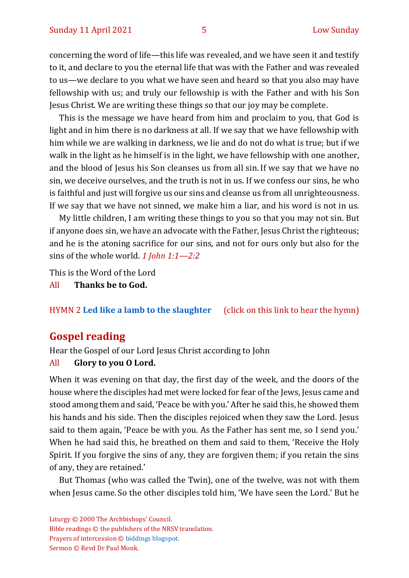concerning the word of life—this life was revealed, and we have seen it and testify to it, and declare to you the eternal life that was with the Father and was revealed to us—we declare to you what we have seen and heard so that you also may have fellowship with us; and truly our fellowship is with the Father and with his Son Jesus Christ. We are writing these things so that our joy may be complete.

This is the message we have heard from him and proclaim to you, that God is light and in him there is no darkness at all. If we say that we have fellowship with him while we are walking in darkness, we lie and do not do what is true; but if we walk in the light as he himself is in the light, we have fellowship with one another, and the blood of Jesus his Son cleanses us from all sin. If we say that we have no sin, we deceive ourselves, and the truth is not in us. If we confess our sins, he who is faithful and just will forgive us our sins and cleanse us from all unrighteousness. If we say that we have not sinned, we make him a liar, and his word is not in us.

My little children, I am writing these things to you so that you may not sin. But if anyone does sin, we have an advocate with the Father, Jesus Christ the righteous; and he is the atoning sacrifice for our sins, and not for ours only but also for the sins of the whole world. *1 John 1:1—2:2* 

This is the Word of the Lord

All **Thanks be to God.**

#### HYMN 2 **[Led like a lamb to the slaughter](https://www.youtube.com/watch?v=O0GrscBNDxo)** (click on this link to hear the hymn)

#### **Gospel reading**

Hear the Gospel of our Lord Jesus Christ according to John

#### All **Glory to you O Lord.**

When it was evening on that day, the first day of the week, and the doors of the house where the disciples had met were locked for fear of the Jews, Jesus came and stood among them and said, 'Peace be with you.' After he said this, he showed them his hands and his side. Then the disciples rejoiced when they saw the Lord. Jesus said to them again, 'Peace be with you. As the Father has sent me, so I send you.' When he had said this, he breathed on them and said to them, 'Receive the Holy Spirit. If you forgive the sins of any, they are forgiven them; if you retain the sins of any, they are retained.'

But Thomas (who was called the Twin), one of the twelve, was not with them when Jesus came. So the other disciples told him, 'We have seen the Lord.' But he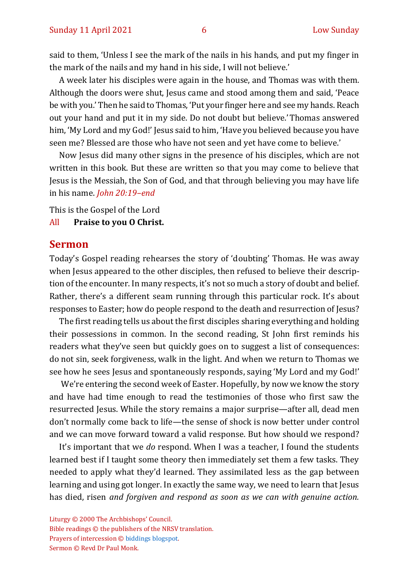said to them, 'Unless I see the mark of the nails in his hands, and put my finger in the mark of the nails and my hand in his side, I will not believe.'

A week later his disciples were again in the house, and Thomas was with them. Although the doors were shut, Jesus came and stood among them and said, 'Peace be with you.' Then he said to Thomas, 'Put your finger here and see my hands. Reach out your hand and put it in my side. Do not doubt but believe.' Thomas answered him, 'My Lord and my God!' Jesus said to him, 'Have you believed because you have seen me? Blessed are those who have not seen and yet have come to believe.'

Now Jesus did many other signs in the presence of his disciples, which are not written in this book. But these are written so that you may come to believe that Jesus is the Messiah, the Son of God, and that through believing you may have life in his name. *John 20:19–end* 

This is the Gospel of the Lord

#### All **Praise to you O Christ.**

#### **Sermon**

Today's Gospel reading rehearses the story of 'doubting' Thomas. He was away when Jesus appeared to the other disciples, then refused to believe their description of the encounter. In many respects, it's not so much a story of doubt and belief. Rather, there's a different seam running through this particular rock. It's about responses to Easter; how do people respond to the death and resurrection of Jesus?

The first reading tells us about the first disciples sharing everything and holding their possessions in common. In the second reading, St John first reminds his readers what they've seen but quickly goes on to suggest a list of consequences: do not sin, seek forgiveness, walk in the light. And when we return to Thomas we see how he sees Jesus and spontaneously responds, saying 'My Lord and my God!'

We're entering the second week of Easter. Hopefully, by now we know the story and have had time enough to read the testimonies of those who first saw the resurrected Jesus. While the story remains a major surprise—after all, dead men don't normally come back to life—the sense of shock is now better under control and we can move forward toward a valid response. But how should we respond?

It's important that we *do* respond. When I was a teacher, I found the students learned best if I taught some theory then immediately set them a few tasks. They needed to apply what they'd learned. They assimilated less as the gap between learning and using got longer. In exactly the same way, we need to learn that Jesus has died, risen *and forgiven and respond as soon as we can with genuine action.*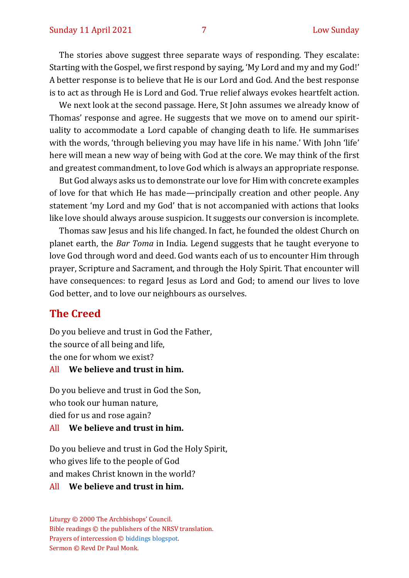The stories above suggest three separate ways of responding. They escalate: Starting with the Gospel, we first respond by saying, 'My Lord and my and my God!' A better response is to believe that He is our Lord and God. And the best response is to act as through He is Lord and God. True relief always evokes heartfelt action.

We next look at the second passage. Here, St John assumes we already know of Thomas' response and agree. He suggests that we move on to amend our spirituality to accommodate a Lord capable of changing death to life. He summarises with the words, 'through believing you may have life in his name.' With John 'life' here will mean a new way of being with God at the core. We may think of the first and greatest commandment, to love God which is always an appropriate response.

But God always asks us to demonstrate our love for Him with concrete examples of love for that which He has made—principally creation and other people. Any statement 'my Lord and my God' that is not accompanied with actions that looks like love should always arouse suspicion. It suggests our conversion is incomplete.

Thomas saw Jesus and his life changed. In fact, he founded the oldest Church on planet earth, the *Bar Toma* in India. Legend suggests that he taught everyone to love God through word and deed. God wants each of us to encounter Him through prayer, Scripture and Sacrament, and through the Holy Spirit. That encounter will have consequences: to regard Jesus as Lord and God; to amend our lives to love God better, and to love our neighbours as ourselves.

### **The Creed**

Do you believe and trust in God the Father, the source of all being and life, the one for whom we exist?

#### All **We believe and trust in him.**

Do you believe and trust in God the Son, who took our human nature, died for us and rose again?

#### All **We believe and trust in him.**

Do you believe and trust in God the Holy Spirit, who gives life to the people of God and makes Christ known in the world?

#### All **We believe and trust in him.**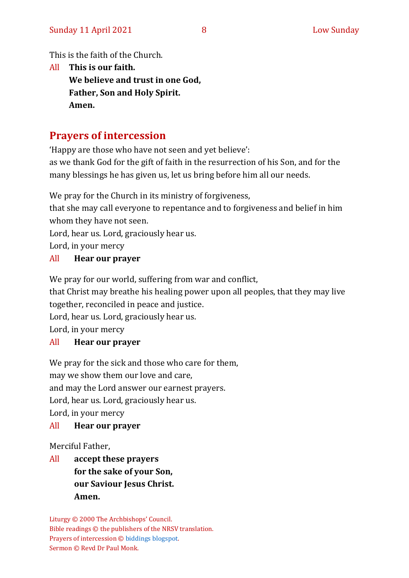This is the faith of the Church.

All **This is our faith. We believe and trust in one God, Father, Son and Holy Spirit. Amen.**

# **Prayers of intercession**

'Happy are those who have not seen and yet believe':

as we thank God for the gift of faith in the resurrection of his Son, and for the many blessings he has given us, let us bring before him all our needs.

We pray for the Church in its ministry of forgiveness,

that she may call everyone to repentance and to forgiveness and belief in him whom they have not seen.

Lord, hear us. Lord, graciously hear us.

Lord, in your mercy

#### All **Hear our prayer**

We pray for our world, suffering from war and conflict,

that Christ may breathe his healing power upon all peoples, that they may live together, reconciled in peace and justice.

Lord, hear us. Lord, graciously hear us.

Lord, in your mercy

#### All **Hear our prayer**

We pray for the sick and those who care for them, may we show them our love and care, and may the Lord answer our earnest prayers. Lord, hear us. Lord, graciously hear us. Lord, in your mercy

#### All **Hear our prayer**

Merciful Father,

All **accept these prayers for the sake of your Son, our Saviour Jesus Christ. Amen.**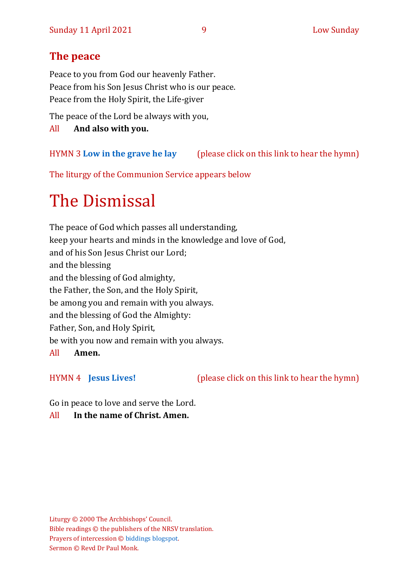# **The peace**

Peace to you from God our heavenly Father. Peace from his Son Jesus Christ who is our peace. Peace from the Holy Spirit, the Life-giver

The peace of the Lord be always with you,

All **And also with you.**

HYMN 3 **[Low in the grave he lay](https://www.youtube.com/watch?v=CtxSWcfH9hk)** (please click on this link to hear the hymn)

The liturgy of the Communion Service appears below

# The Dismissal

The peace of God which passes all understanding, keep your hearts and minds in the knowledge and love of God, and of his Son Jesus Christ our Lord; and the blessing and the blessing of God almighty, the Father, the Son, and the Holy Spirit, be among you and remain with you always. and the blessing of God the Almighty: Father, Son, and Holy Spirit, be with you now and remain with you always.

All **Amen.**

HYMN 4 **[Jesus Lives!](https://www.youtube.com/watch?v=ZCz-HYIxmvE)** (please click on this link to hear the hymn)

Go in peace to love and serve the Lord.

#### All **In the name of Christ. Amen.**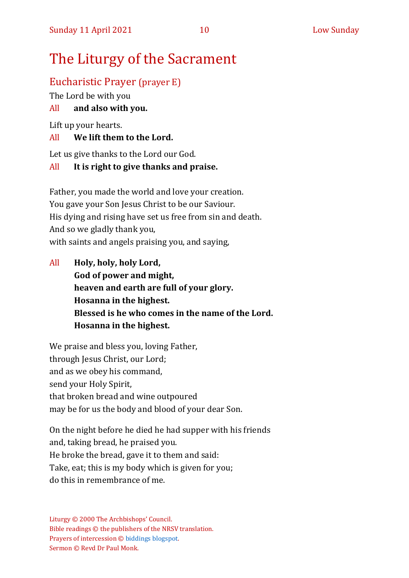# The Liturgy of the Sacrament

## Eucharistic Prayer (prayer E)

The Lord be with you

#### All **and also with you.**

Lift up your hearts.

#### All **We lift them to the Lord.**

Let us give thanks to the Lord our God.

#### All **It is right to give thanks and praise.**

Father, you made the world and love your creation. You gave your Son Jesus Christ to be our Saviour. His dying and rising have set us free from sin and death. And so we gladly thank you, with saints and angels praising you, and saying,

All **Holy, holy, holy Lord, God of power and might, heaven and earth are full of your glory. Hosanna in the highest. Blessed is he who comes in the name of the Lord. Hosanna in the highest.**

We praise and bless you, loving Father, through Jesus Christ, our Lord; and as we obey his command, send your Holy Spirit, that broken bread and wine outpoured may be for us the body and blood of your dear Son.

On the night before he died he had supper with his friends and, taking bread, he praised you. He broke the bread, gave it to them and said: Take, eat; this is my body which is given for you; do this in remembrance of me.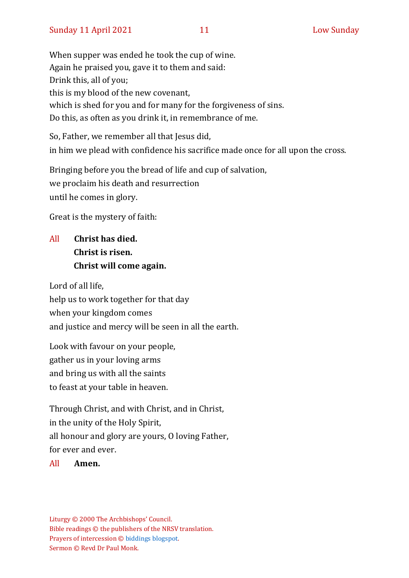When supper was ended he took the cup of wine. Again he praised you, gave it to them and said: Drink this, all of you; this is my blood of the new covenant, which is shed for you and for many for the forgiveness of sins. Do this, as often as you drink it, in remembrance of me.

So, Father, we remember all that Jesus did, in him we plead with confidence his sacrifice made once for all upon the cross.

Bringing before you the bread of life and cup of salvation, we proclaim his death and resurrection until he comes in glory.

Great is the mystery of faith:

# All **Christ has died. Christ is risen. Christ will come again.**

Lord of all life, help us to work together for that day when your kingdom comes and justice and mercy will be seen in all the earth.

Look with favour on your people, gather us in your loving arms and bring us with all the saints to feast at your table in heaven.

Through Christ, and with Christ, and in Christ, in the unity of the Holy Spirit, all honour and glory are yours, O loving Father, for ever and ever.

All **Amen.**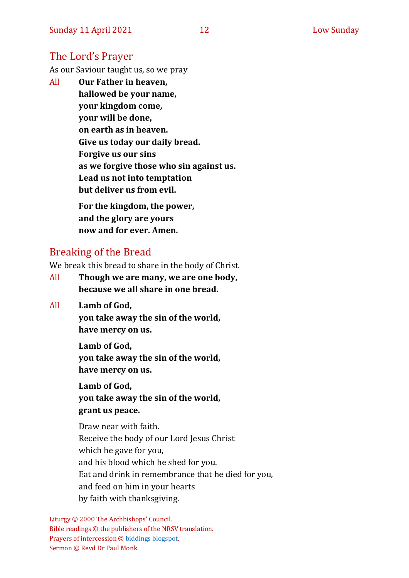#### The Lord's Prayer

As our Saviour taught us, so we pray

All **Our Father in heaven, hallowed be your name, your kingdom come, your will be done, on earth as in heaven. Give us today our daily bread. Forgive us our sins as we forgive those who sin against us. Lead us not into temptation but deliver us from evil. For the kingdom, the power, and the glory are yours**

Breaking of the Bread

We break this bread to share in the body of Christ.

**now and for ever. Amen.**

- All **Though we are many, we are one body, because we all share in one bread.**
- All **Lamb of God,**

**you take away the sin of the world, have mercy on us.**

**Lamb of God, you take away the sin of the world, have mercy on us.**

**Lamb of God, you take away the sin of the world, grant us peace.**

Draw near with faith. Receive the body of our Lord Jesus Christ which he gave for you, and his blood which he shed for you. Eat and drink in remembrance that he died for you, and feed on him in your hearts by faith with thanksgiving.